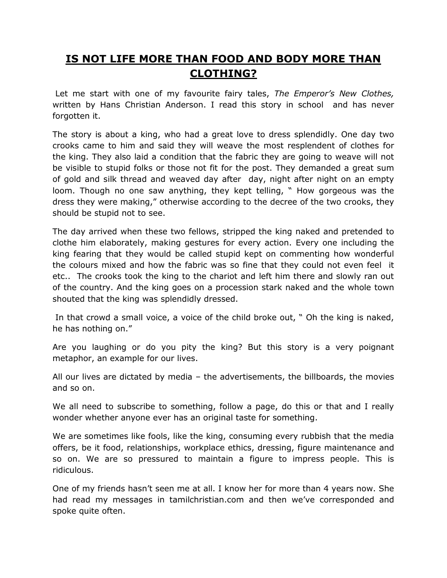## **IS NOT LIFE MORE THAN FOOD AND BODY MORE THAN CLOTHING?**

Let me start with one of my favourite fairy tales, *The Emperor's New Clothes,* written by Hans Christian Anderson. I read this story in school and has never forgotten it.

The story is about a king, who had a great love to dress splendidly. One day two crooks came to him and said they will weave the most resplendent of clothes for the king. They also laid a condition that the fabric they are going to weave will not be visible to stupid folks or those not fit for the post. They demanded a great sum of gold and silk thread and weaved day after day, night after night on an empty loom. Though no one saw anything, they kept telling, " How gorgeous was the dress they were making," otherwise according to the decree of the two crooks, they should be stupid not to see.

The day arrived when these two fellows, stripped the king naked and pretended to clothe him elaborately, making gestures for every action. Every one including the king fearing that they would be called stupid kept on commenting how wonderful the colours mixed and how the fabric was so fine that they could not even feel it etc.. The crooks took the king to the chariot and left him there and slowly ran out of the country. And the king goes on a procession stark naked and the whole town shouted that the king was splendidly dressed.

In that crowd a small voice, a voice of the child broke out, " Oh the king is naked, he has nothing on."

Are you laughing or do you pity the king? But this story is a very poignant metaphor, an example for our lives.

All our lives are dictated by media  $-$  the advertisements, the billboards, the movies and so on.

We all need to subscribe to something, follow a page, do this or that and I really wonder whether anyone ever has an original taste for something.

We are sometimes like fools, like the king, consuming every rubbish that the media offers, be it food, relationships, workplace ethics, dressing, figure maintenance and so on. We are so pressured to maintain a figure to impress people. This is ridiculous.

One of my friends hasn"t seen me at all. I know her for more than 4 years now. She had read my messages in tamilchristian.com and then we"ve corresponded and spoke quite often.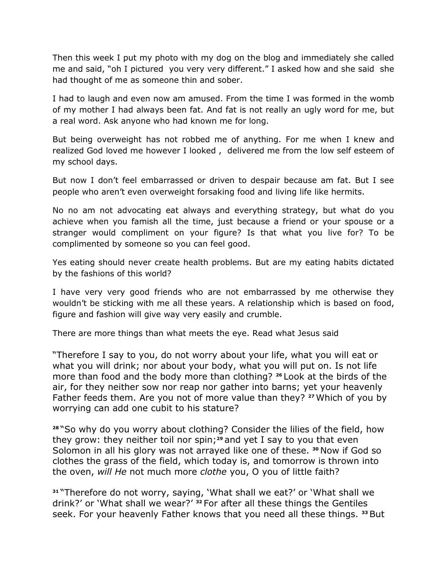Then this week I put my photo with my dog on the blog and immediately she called me and said, "oh I pictured you very very different." I asked how and she said she had thought of me as someone thin and sober.

I had to laugh and even now am amused. From the time I was formed in the womb of my mother I had always been fat. And fat is not really an ugly word for me, but a real word. Ask anyone who had known me for long.

But being overweight has not robbed me of anything. For me when I knew and realized God loved me however I looked , delivered me from the low self esteem of my school days.

But now I don"t feel embarrassed or driven to despair because am fat. But I see people who aren"t even overweight forsaking food and living life like hermits.

No no am not advocating eat always and everything strategy, but what do you achieve when you famish all the time, just because a friend or your spouse or a stranger would compliment on your figure? Is that what you live for? To be complimented by someone so you can feel good.

Yes eating should never create health problems. But are my eating habits dictated by the fashions of this world?

I have very very good friends who are not embarrassed by me otherwise they wouldn"t be sticking with me all these years. A relationship which is based on food, figure and fashion will give way very easily and crumble.

There are more things than what meets the eye. Read what Jesus said

"Therefore I say to you, do not worry about your life, what you will eat or what you will drink; nor about your body, what you will put on. Is not life more than food and the body more than clothing? **<sup>26</sup>** Look at the birds of the air, for they neither sow nor reap nor gather into barns; yet your heavenly Father feeds them. Are you not of more value than they? **<sup>27</sup>**Which of you by worrying can add one cubit to his stature?

**<sup>28</sup>** "So why do you worry about clothing? Consider the lilies of the field, how they grow: they neither toil nor spin;**<sup>29</sup>** and yet I say to you that even Solomon in all his glory was not arrayed like one of these. **<sup>30</sup>** Now if God so clothes the grass of the field, which today is, and tomorrow is thrown into the oven, *will He* not much more *clothe* you, O you of little faith?

**<sup>31</sup>** "Therefore do not worry, saying, "What shall we eat?" or "What shall we drink?" or "What shall we wear?" **<sup>32</sup>** For after all these things the Gentiles seek. For your heavenly Father knows that you need all these things. **<sup>33</sup>** But